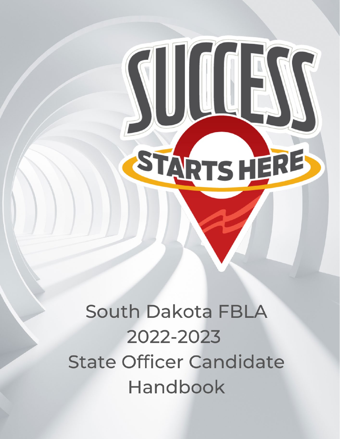South Dakota FBLA 2022-2023 **State Officer Candidate** Handbook

STARTSHERE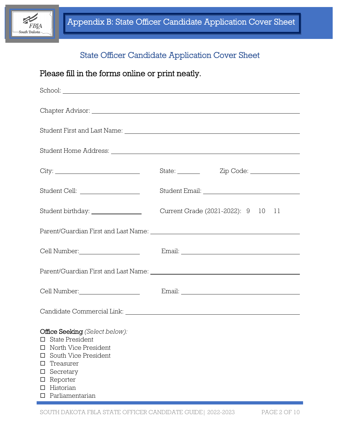

# State Officer Candidate Application Cover Sheet

# Please fill in the forms online or print neatly.

|                                                                                                                                                                                                                                | State: <u>Zip Code:</u> Zip Code:  |
|--------------------------------------------------------------------------------------------------------------------------------------------------------------------------------------------------------------------------------|------------------------------------|
|                                                                                                                                                                                                                                |                                    |
|                                                                                                                                                                                                                                | Current Grade (2021-2022): 9 10 11 |
|                                                                                                                                                                                                                                |                                    |
|                                                                                                                                                                                                                                |                                    |
|                                                                                                                                                                                                                                |                                    |
| Cell Number: University of the Number of the Mumber of the Mumber of the Mumber of the Mumber of the Mumber of the Mumber of the Mumber of the Mumber of the Mumber of the Mumber of the Mumber of the Mumber of the Mumber of |                                    |
|                                                                                                                                                                                                                                |                                    |
| Office Seeking (Select below):<br><b>State President</b><br>□<br>North Vice President<br>$\Box$<br>South Vice President<br>□<br>Treasurer<br>□<br>Secretary<br>□<br>Reporter<br>$\Box$<br>Historian<br>□<br>Parliamentarian    |                                    |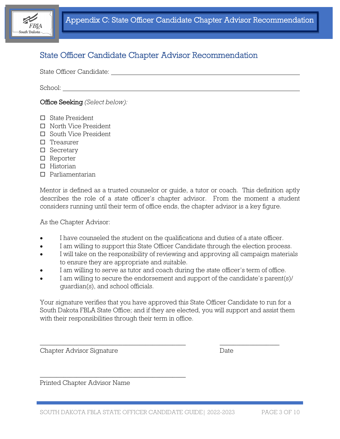

# State Officer Candidate Chapter Advisor Recommendation

State Officer Candidate:

School:

Office Seeking *(Select below):*

- □ State President
- □ North Vice President
- □ South Vice President
- $\Box$  Treasurer
- □ Secretary
- □ Reporter
- $\Pi$  Historian
- Parliamentarian

Mentor is defined as a trusted counselor or guide, a tutor or coach. This definition aptly describes the role of a state officer's chapter advisor. From the moment a student considers running until their term of office ends, the chapter advisor is a key figure.

As the Chapter Advisor:

- I have counseled the student on the qualifications and duties of a state officer.
- I am willing to support this State Officer Candidate through the election process.
- I will take on the responsibility of reviewing and approving all campaign materials to ensure they are appropriate and suitable.
- I am willing to serve as tutor and coach during the state officer's term of office.
- I am willing to secure the endorsement and support of the candidate's parent(s)/ guardian(s), and school officials.

Your signature verifies that you have approved this State Officer Candidate to run for a South Dakota FBLA State Office; and if they are elected, you will support and assist them with their responsibilities through their term in office.

\_\_\_\_\_\_\_\_\_\_\_\_\_\_\_\_\_\_\_\_\_\_\_\_\_\_\_\_\_\_\_\_\_\_\_\_\_\_\_\_\_\_\_\_ \_\_\_\_\_\_\_\_\_\_\_\_\_\_\_\_\_\_

Chapter Advisor Signature Date

Printed Chapter Advisor Name

\_\_\_\_\_\_\_\_\_\_\_\_\_\_\_\_\_\_\_\_\_\_\_\_\_\_\_\_\_\_\_\_\_\_\_\_\_\_\_\_\_\_\_\_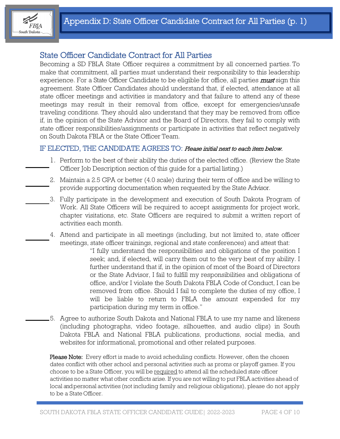

### State Officer Candidate Contract for All Parties

Becoming a SD FBLA State Officer requires a commitment by all concerned parties. To make that commitment, all parties must understand their responsibility to this leadership experience. For a State Officer Candidate to be eligible for office, all parties *must* sign this agreement. State Officer Candidates should understand that, if elected, attendance at all state officer meetings and activities is mandatory and that failure to attend any of these meetings may result in their removal from office, except for emergencies/unsafe traveling conditions. They should also understand that they may be removed from office if, in the opinion of the State Advisor and the Board of Directors, they fail to comply with state officer responsibilities/assignments or participate in activities that reflect negatively on South Dakota FBLA or the State Officer Team.

### IF ELECTED, THE CANDIDATE AGREES TO: Please initial next to each item below.

- 1. Perform to the best of their ability the duties of the elected office. (Review the State Officer Job Description section of this guide for a partial listing.)
- 2. Maintain a 2.5 GPA or better (4.0 scale) during their term of office and be willing to provide supporting documentation when requested by the State Advisor.
- 3. Fully participate in the development and execution of South Dakota Program of Work. All State Officers will be required to accept assignments for project work, chapter visitations, etc. State Officers are required to submit a written report of activities each month.
- 4. Attend and participate in all meetings (including, but not limited to, state officer meetings, state officer trainings, regional and state conferences) and attest that:
	- "I fully understand the responsibilities and obligations of the position I seek; and, if elected, will carry them out to the very best of my ability. I further understand that if, in the opinion of most of the Board of Directors or the State Advisor, I fail to fulfill my responsibilities and obligations of office, and/or I violate the South Dakota FBLA Code of Conduct, I can be removed from office. Should I fail to complete the duties of my office, I will be liable to return to FBLA the amount expended for my participation during my term in office."
- 5. Agree to authorize South Dakota and National FBLA to use my name and likeness (including photographs, video footage, silhouettes, and audio clips) in South Dakota FBLA and National FBLA publications, productions, social media, and websites for informational, promotional and other related purposes.

Please Note: Every effort is made to avoid scheduling conflicts. However, often the chosen dates conflict with other school and personal activities such as proms or playoff games. If you choose to be a State Officer, you will be required to attend all the scheduled state officer activities no matter what other conflicts arise. If you are not willing to put FBLA activities ahead of local andpersonal activities (not including family and religious obligations), please do not apply to be a State Officer.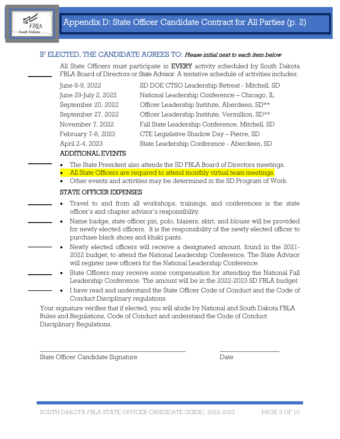

### IF ELECTED, THE CANDIDATE AGREES TO: Please initial next to each item below

All State Officers must participate in **EVERY** activity scheduled by South Dakota FBLA Board of Directors or State Advisor. A tentative schedule of activities includes:

| June 8-9, 2022       | SD DOE CTSO Leadership Retreat - Mitchell, SD  |
|----------------------|------------------------------------------------|
| June 29-July 2, 2022 | National Leadership Conference - Chicago, IL   |
| September 20, 2022   | Officer Leadership Institute, Aberdeen, SD**   |
| September 27, 2022   | Officer Leadership Institute, Vermillion, SD** |
| November 7, 2022     | Fall State Leadership Conference, Mitchell, SD |
| February 7-8, 2023   | CTE Legislative Shadow Day - Pierre, SD        |
| April 2-4, 2023      | State Leadership Conference - Aberdeen, SD     |
|                      |                                                |

#### ADDITIONAL EVENTS

- The State President also attends the SD FBLA Board of Directors meetings.
- All State Officers are required to attend monthly virtual team meetings.
- Other events and activities may be determined in the SD Program of Work.

#### STATE OFFICER EXPENSES

- Travel to and from all workshops, trainings, and conferences is the state officer's and chapter advisor's responsibility.
- Name badge, state officer pin, polo, blazers, skirt, and blouse will be provided for newly elected officers. It is the responsibility of the newly elected officer to purchase black shoes and khaki pants.
- Newly elected officers will receive a designated amount, found in the 2021- 2022 budget, to attend the National Leadership Conference. The State Advisor will register new officers for the National Leadership Conference.
- State Officers may receive some compensation for attending the National Fall Leadership Conference. The amount will be in the 2022-2023 SD FBLA budget.
- I have read and understand the State Officer Code of Conduct and the Code of Conduct Disciplinary regulations.

Your signature verifies that if elected, you will abide by National and South Dakota FBLA Rules and Regulations, Code of Conduct and understand the Code of Conduct Disciplinary Regulations.

\_\_\_\_\_\_\_\_\_\_\_\_\_\_\_\_\_\_\_\_\_\_\_\_\_\_\_\_\_\_\_\_\_\_\_\_\_\_\_\_\_\_\_\_ \_\_\_\_\_\_\_\_\_\_\_\_\_\_\_\_\_\_

State Officer Candidate Signature Date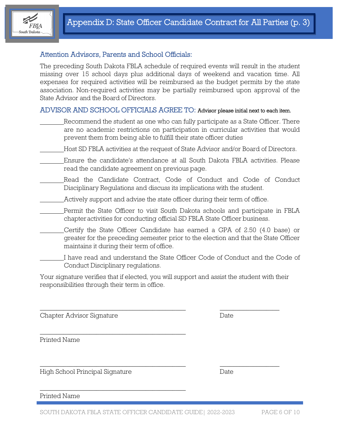

### Attention Advisors, Parents and School Officials:

The preceding South Dakota FBLA schedule of required events will result in the student missing over 15 school days plus additional days of weekend and vacation time. All expenses for required activities will be reimbursed as the budget permits by the state association. Non-required activities may be partially reimbursed upon approval of the State Advisor and the Board of Directors.

#### ADVISOR AND SCHOOL OFFICIALS AGREE TO: Advisor please initial next to each item.

- Recommend the student as one who can fully participate as a State Officer. There are no academic restrictions on participation in curricular activities that would prevent them from being able to fulfill their state officer duties
- Host SD FBLA activities at the request of State Advisor and/or Board of Directors.
- Ensure the candidate's attendance at all South Dakota FBLA activities. Please read the candidate agreement on previous page.
- Read the Candidate Contract, Code of Conduct and Code of Conduct Disciplinary Regulations and discuss its implications with the student.
	- Actively support and advise the state officer during their term of office.
- Permit the State Officer to visit South Dakota schools and participate in FBLA chapteractivities for conducting official SD FBLA State Officer business.
- Certify the State Officer Candidate has earned a GPA of 2.50 (4.0 base) or greater for the preceding semester prior to the election and that the State Officer maintains it during their term of office.
- I have read and understand the State Officer Code of Conduct and the Code of Conduct Disciplinary regulations.

Your signature verifies that if elected, you will support and assist the student with their responsibilities through their term in office.

\_\_\_\_\_\_\_\_\_\_\_\_\_\_\_\_\_\_\_\_\_\_\_\_\_\_\_\_\_\_\_\_\_\_\_\_\_\_\_\_\_\_\_\_ \_\_\_\_\_\_\_\_\_\_\_\_\_\_\_\_\_\_

\_\_\_\_\_\_\_\_\_\_\_\_\_\_\_\_\_\_\_\_\_\_\_\_\_\_\_\_\_\_\_\_\_\_\_\_\_\_\_\_\_\_\_\_ \_\_\_\_\_\_\_\_\_\_\_\_\_\_\_\_\_\_

Chapter Advisor Signature Date

Printed Name

High School Principal Signature Date

\_\_\_\_\_\_\_\_\_\_\_\_\_\_\_\_\_\_\_\_\_\_\_\_\_\_\_\_\_\_\_\_\_\_\_\_\_\_\_\_\_\_\_\_

\_\_\_\_\_\_\_\_\_\_\_\_\_\_\_\_\_\_\_\_\_\_\_\_\_\_\_\_\_\_\_\_\_\_\_\_\_\_\_\_\_\_\_\_

Printed Name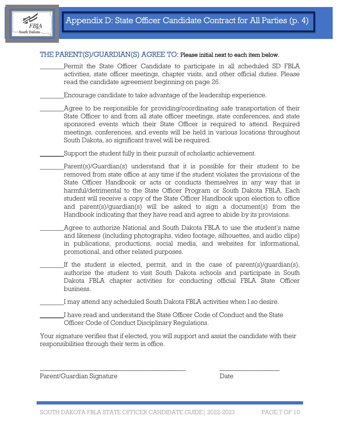

#### THE PARENT(S)/GUARDIAN(S) AGREE TO: Please initial next to each item below.

Permit the State Officer Candidate to participate in all scheduled SD FBLA activities, state officer meetings, chapter visits, and other official duties. Please read the candidate agreement beginning on page 26.

Encourage candidate to take advantage of the leadership experience.

- Agree to be responsible for providing/coordinating safe transportation of their State Officer to and from all state officer meetings, state conferences, and state sponsored events which their State Officer is required to attend. Required meetings, conferences, and events will be held in various locations throughout South Dakota, so significant travel will be required.
- Support the student fully in their pursuit of scholastic achievement.
- Parent(s)/Guardian(s) understand that it is possible for their student to be removed from state office at any time if the student violates the provisions of the State Officer Handbook or acts or conducts themselves in any way that is harmful/detrimental to the State Officer Program or South Dakota FBLA. Each student will receive a copy of the State Officer Handbook upon election to office and parent(s)/guardian(s) will be asked to sign a document(s) from the Handbook indicating that they have read and agree to abide by its provisions.
- Agree to authorize National and South Dakota FBLA to use the student's name and likeness (including photographs, video footage, silhouettes, and audio clips) in publications, productions, social media, and websites for informational, promotional, and other related purposes.
- If the student is elected, permit, and in the case of parent(s)/guardian(s), authorize the student to visit South Dakota schools and participate in South Dakota FBLA chapter activities for conducting official FBLA State Officer business.

I may attend any scheduled South Dakota FBLA activities when I so desire.

I have read and understand the State Officer Code of Conduct and the State Officer Code of Conduct Disciplinary Regulations.

 $\_$  , and the set of the set of the set of the set of the set of the set of the set of the set of the set of the set of the set of the set of the set of the set of the set of the set of the set of the set of the set of th

Your signature verifies that if elected, you will support and assist the candidate with their responsibilities through their term in office.

Parent/Guardian Signature Date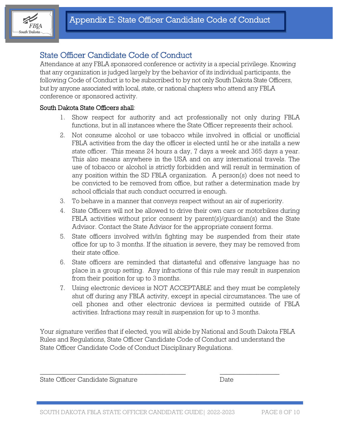

## State Officer Candidate Code of Conduct

Attendance at any FBLA sponsored conference or activity is a special privilege. Knowing that any organization is judged largely by the behavior of its individual participants, the following Code of Conduct is to be subscribed to by not only South Dakota State Officers, but by anyone associated with local, state, or national chapters who attend any FBLA conference or sponsored activity.

#### South Dakota State Officers shall:

- 1. Show respect for authority and act professionally not only during FBLA functions, but in all instances where the State Officer represents their school.
- 2. Not consume alcohol or use tobacco while involved in official or unofficial FBLA activities from the day the officer is elected until he or she installs a new state officer. This means 24 hours a day, 7 days a week and 365 days a year. This also means anywhere in the USA and on any international travels. The use of tobacco or alcohol is strictly forbidden and will result in termination of any position within the SD FBLA organization. A person(s) does not need to be convicted to be removed from office, but rather a determination made by school officials that such conduct occurred is enough.
- 3. To behave in a manner that conveys respect without an air of superiority.
- 4. State Officers will not be allowed to drive their own cars or motorbikes during FBLA activities without prior consent by parent(s)/guardian(s) and the State Advisor. Contact the State Advisor for the appropriate consent forms.
- 5. State officers involved with/in fighting may be suspended from their state office for up to 3 months. If the situation is severe, they may be removed from their state office.
- 6. State officers are reminded that distasteful and offensive language has no place in a group setting. Any infractions of this rule may result in suspension from their position for up to 3 months.
- 7. Using electronic devices is NOT ACCEPTABLE and they must be completely shut off during any FBLA activity, except in special circumstances. The use of cell phones and other electronic devices is permitted outside of FBLA activities. Infractions may result in suspension for up to 3 months.

Your signature verifies that if elected, you will abide by National and South Dakota FBLA Rules and Regulations, State Officer Candidate Code of Conduct and understand the State Officer Candidate Code of Conduct Disciplinary Regulations.

 $\_$  , and the set of the set of the set of the set of the set of the set of the set of the set of the set of the set of the set of the set of the set of the set of the set of the set of the set of the set of the set of th

State Officer Candidate Signature Date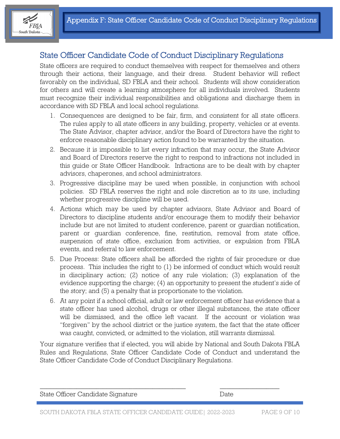

## State Officer Candidate Code of Conduct Disciplinary Regulations

State officers are required to conduct themselves with respect for themselves and others through their actions, their language, and their dress. Student behavior will reflect favorably on the individual, SD FBLA and their school. Students will show consideration for others and will create a learning atmosphere for all individuals involved. Students must recognize their individual responsibilities and obligations and discharge them in accordance with SD FBLA and local school regulations.

- 1. Consequences are designed to be fair, firm, and consistent for all state officers. The rules apply to all state officers in any building, property, vehicles or at events. The State Advisor, chapter advisor, and/or the Board of Directors have the right to enforce reasonable disciplinary action found to be warranted by the situation.
- 2. Because it is impossible to list every infraction that may occur, the State Advisor and Board of Directors reserve the right to respond to infractions not included in this guide or State Officer Handbook. Infractions are to be dealt with by chapter advisors, chaperones, and school administrators.
- 3. Progressive discipline may be used when possible, in conjunction with school policies. SD FBLA reserves the right and sole discretion as to its use, including whether progressive discipline will be used.
- 4. Actions which may be used by chapter advisors, State Advisor and Board of Directors to discipline students and/or encourage them to modify their behavior include but are not limited to student conference, parent or guardian notification, parent or guardian conference, fine, restitution, removal from state office, suspension of state office, exclusion from activities, or expulsion from FBLA events, and referral to law enforcement.
- 5. Due Process: State officers shall be afforded the rights of fair procedure or due process. This includes the right to (1) be informed of conduct which would result in disciplinary action; (2) notice of any rule violation; (3) explanation of the evidence supporting the charge; (4) an opportunity to present the student's side of the story; and (5) a penalty that is proportionate to the violation.
- 6. At any point if a school official, adult or law enforcement officer has evidence that a state officer has used alcohol, drugs or other illegal substances, the state officer will be dismissed, and the office left vacant. If the account or violation was "forgiven" by the school district or the justice system, the fact that the state officer was caught, convicted, or admitted to the violation, still warrants dismissal.

Your signature verifies that if elected, you will abide by National and South Dakota FBLA Rules and Regulations, State Officer Candidate Code of Conduct and understand the State Officer Candidate Code of Conduct Disciplinary Regulations.

| State Officer Candidate Signature | Date: |
|-----------------------------------|-------|
|                                   |       |